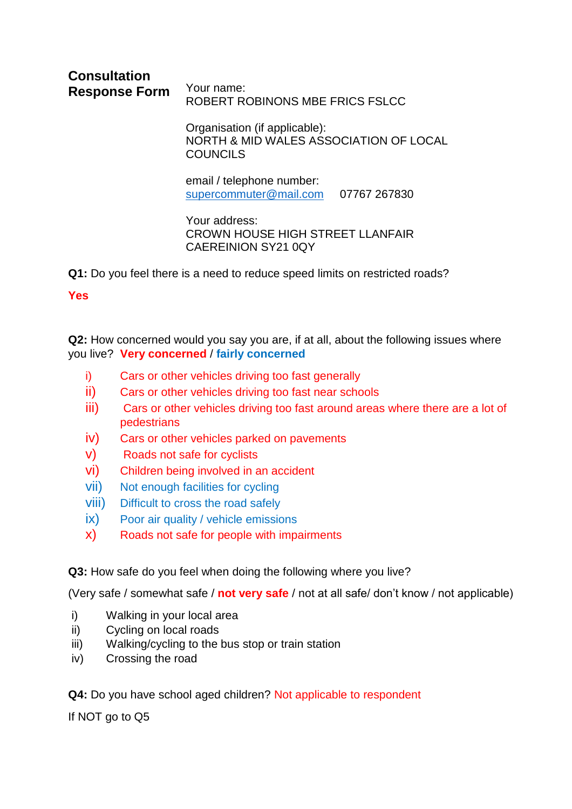#### **Consultation Response Form** Your name: ROBERT ROBINONS MBE FRICS FSLCC

Organisation (if applicable): NORTH & MID WALES ASSOCIATION OF LOCAL COUNCILS

email / telephone number: [supercommuter@mail.com](mailto:supercommuter@mail.com) 07767 267830

Your address: CROWN HOUSE HIGH STREET LLANFAIR CAEREINION SY21 0QY

**Q1:** Do you feel there is a need to reduce speed limits on restricted roads?

**Yes** 

**Q2:** How concerned would you say you are, if at all, about the following issues where you live? **Very concerned** / **fairly concerned**

- i) Cars or other vehicles driving too fast generally
- ii) Cars or other vehicles driving too fast near schools
- iii) Cars or other vehicles driving too fast around areas where there are a lot of pedestrians
- iv) Cars or other vehicles parked on pavements
- v) Roads not safe for cyclists
- vi) Children being involved in an accident
- vii) Not enough facilities for cycling
- viii) Difficult to cross the road safely
- ix) Poor air quality / vehicle emissions
- x) Roads not safe for people with impairments

**Q3:** How safe do you feel when doing the following where you live?

(Very safe / somewhat safe / **not very safe** / not at all safe/ don't know / not applicable)

- i) Walking in your local area
- ii) Cycling on local roads
- iii) Walking/cycling to the bus stop or train station
- iv) Crossing the road

**Q4:** Do you have school aged children? Not applicable to respondent

If NOT go to Q5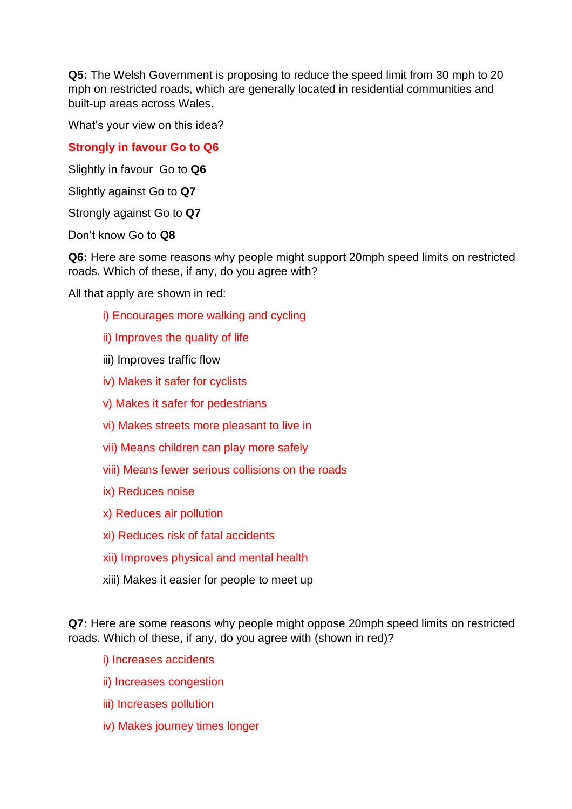**Q5:** The Welsh Government is proposing to reduce the speed limit from 30 mph to 20 mph on restricted roads, which are generally located in residential communities and built-up areas across Wales.

What's your view on this idea?

# **Strongly in favour Go to Q6**

Slightly in favour Go to **Q6**

Slightly against Go to **Q7**

Strongly against Go to **Q7**

Don't know Go to **Q8**

**Q6:** Here are some reasons why people might support 20mph speed limits on restricted roads. Which of these, if any, do you agree with?

All that apply are shown in red:

- i) Encourages more walking and cycling
- ii) Improves the quality of life
- iii) Improves traffic flow
- iv) Makes it safer for cyclists
- v) Makes it safer for pedestrians
- vi) Makes streets more pleasant to live in
- vii) Means children can play more safely
- viii) Means fewer serious collisions on the roads
- ix) Reduces noise
- x) Reduces air pollution
- xi) Reduces risk of fatal accidents
- xii) Improves physical and mental health
- xiii) Makes it easier for people to meet up

**Q7:** Here are some reasons why people might oppose 20mph speed limits on restricted roads. Which of these, if any, do you agree with (shown in red)?

i) Increases accidents

- ii) Increases congestion
- iii) Increases pollution
- iv) Makes journey times longer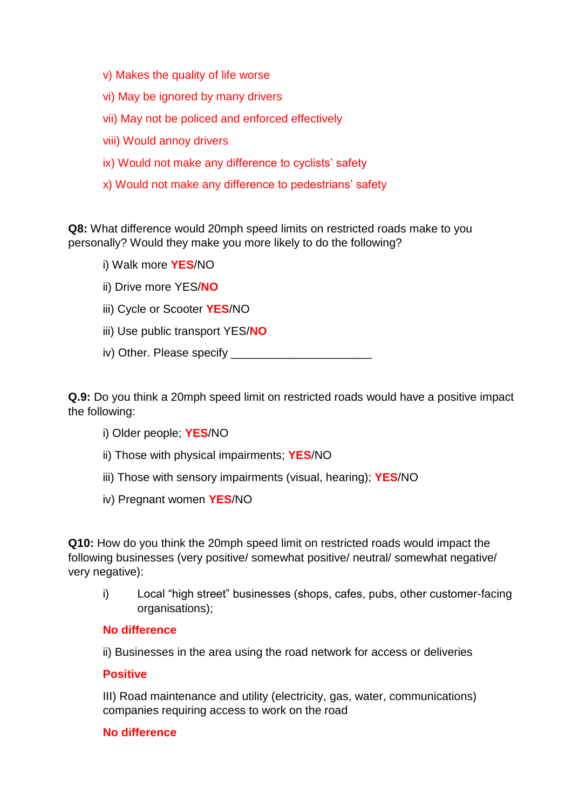- v) Makes the quality of life worse
- vi) May be ignored by many drivers
- vii) May not be policed and enforced effectively
- viii) Would annoy drivers
- ix) Would not make any difference to cyclists' safety
- x) Would not make any difference to pedestrians' safety

**Q8:** What difference would 20mph speed limits on restricted roads make to you personally? Would they make you more likely to do the following?

- i) Walk more **YES**/NO
- ii) Drive more YES/**NO**
- iii) Cycle or Scooter **YES**/NO
- iii) Use public transport YES/**NO**
- iv) Other. Please specify \_\_\_\_\_\_\_\_\_\_\_\_\_\_\_\_\_\_\_\_\_\_

**Q.9:** Do you think a 20mph speed limit on restricted roads would have a positive impact the following:

- i) Older people; **YES**/NO
- ii) Those with physical impairments; **YES**/NO
- iii) Those with sensory impairments (visual, hearing); **YES**/NO
- iv) Pregnant women **YES**/NO

**Q10:** How do you think the 20mph speed limit on restricted roads would impact the following businesses (very positive/ somewhat positive/ neutral/ somewhat negative/ very negative):

i) Local "high street" businesses (shops, cafes, pubs, other customer-facing organisations);

## **No difference**

ii) Businesses in the area using the road network for access or deliveries

#### **Positive**

III) Road maintenance and utility (electricity, gas, water, communications) companies requiring access to work on the road

## **No difference**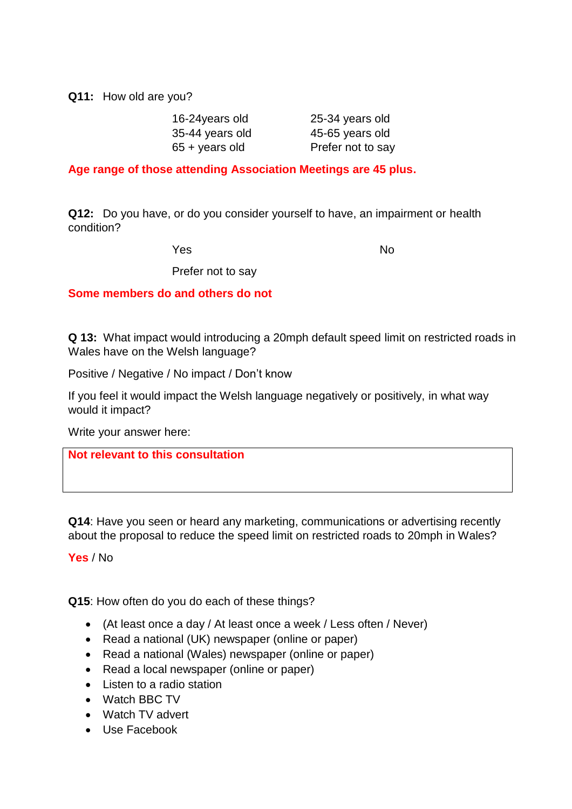**Q11:** How old are you?

| 25-34 years old   |
|-------------------|
| 45-65 years old   |
| Prefer not to say |
|                   |

**Age range of those attending Association Meetings are 45 plus.**

**Q12:** Do you have, or do you consider yourself to have, an impairment or health condition?

Yes No

Prefer not to say

**Some members do and others do not**

**Q 13:** What impact would introducing a 20mph default speed limit on restricted roads in Wales have on the Welsh language?

Positive / Negative / No impact / Don't know

If you feel it would impact the Welsh language negatively or positively, in what way would it impact?

Write your answer here:

**Not relevant to this consultation**

**Q14**: Have you seen or heard any marketing, communications or advertising recently about the proposal to reduce the speed limit on restricted roads to 20mph in Wales?

**Yes** / No

**Q15**: How often do you do each of these things?

- (At least once a day / At least once a week / Less often / Never)
- Read a national (UK) newspaper (online or paper)
- Read a national (Wales) newspaper (online or paper)
- Read a local newspaper (online or paper)
- Listen to a radio station
- Watch BBC TV
- Watch TV advert
- Use Facebook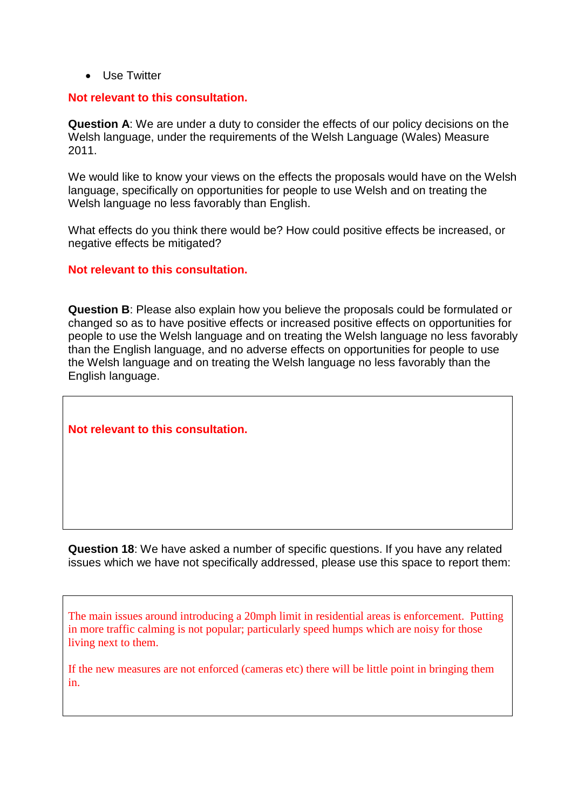• Use Twitter

### **Not relevant to this consultation.**

**Question A**: We are under a duty to consider the effects of our policy decisions on the Welsh language, under the requirements of the Welsh Language (Wales) Measure 2011.

We would like to know your views on the effects the proposals would have on the Welsh language, specifically on opportunities for people to use Welsh and on treating the Welsh language no less favorably than English.

What effects do you think there would be? How could positive effects be increased, or negative effects be mitigated?

### **Not relevant to this consultation.**

**Question B**: Please also explain how you believe the proposals could be formulated or changed so as to have positive effects or increased positive effects on opportunities for people to use the Welsh language and on treating the Welsh language no less favorably than the English language, and no adverse effects on opportunities for people to use the Welsh language and on treating the Welsh language no less favorably than the English language.

**Not relevant to this consultation.**

**Question 18**: We have asked a number of specific questions. If you have any related issues which we have not specifically addressed, please use this space to report them:

The main issues around introducing a 20mph limit in residential areas is enforcement. Putting in more traffic calming is not popular; particularly speed humps which are noisy for those living next to them.

If the new measures are not enforced (cameras etc) there will be little point in bringing them in.